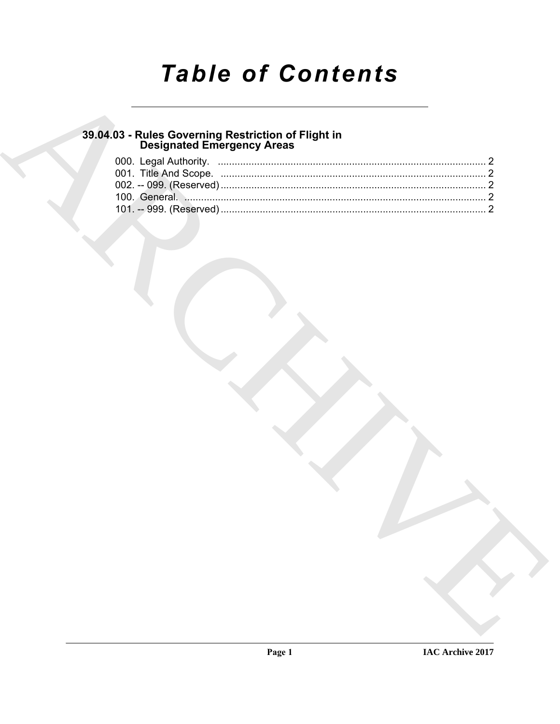# **Table of Contents**

### 39.04.03 - Rules Governing Restriction of Flight in<br>Designated Emergency Areas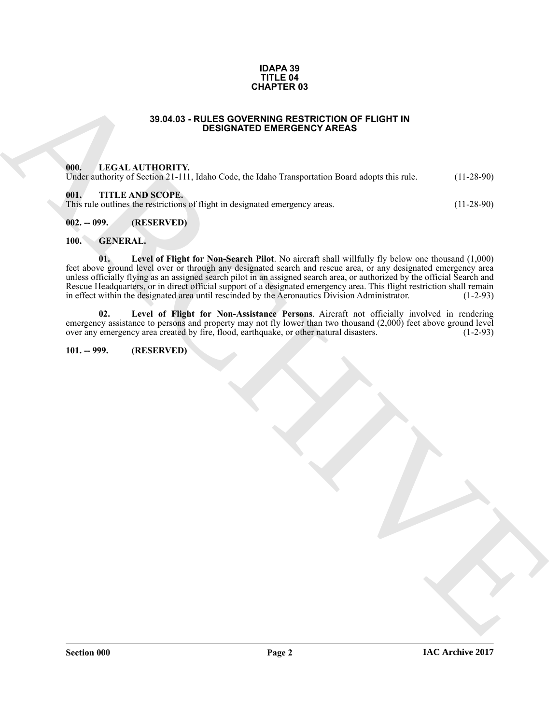#### **IDAPA 39 TITLE 04 CHAPTER 03**

#### **39.04.03 - RULES GOVERNING RESTRICTION OF FLIGHT IN DESIGNATED EMERGENCY AREAS**

#### <span id="page-1-1"></span><span id="page-1-0"></span>**000. LEGAL AUTHORITY.**

Under authority of Section 21-111, Idaho Code, the Idaho Transportation Board adopts this rule. (11-28-90)

#### <span id="page-1-2"></span>**001. TITLE AND SCOPE.**

This rule outlines the restrictions of flight in designated emergency areas. (11-28-90)

#### <span id="page-1-3"></span>**002. -- 099. (RESERVED)**

### <span id="page-1-8"></span><span id="page-1-6"></span><span id="page-1-4"></span>**100. GENERAL.**

**33.04.63** - RULES OOYENING RESTRICTION OF FLUCHT IN<br>
1970. ILLES AT ALTHORITY,<br>
UNICS AT ALTHORITY, Identic coc, the Indio 1 immediation is not a degree to the state.<br>
(III),  $\frac{1}{2}$  and  $\frac{1}{2}$  and  $\frac{1}{2}$  and  $\frac$ **01. Level of Flight for Non-Search Pilot**. No aircraft shall willfully fly below one thousand (1,000) feet above ground level over or through any designated search and rescue area, or any designated emergency area unless officially flying as an assigned search pilot in an assigned search area, or authorized by the official Search and Rescue Headquarters, or in direct official support of a designated emergency area. This flight restriction shall remain<br>in effect within the designated area until rescinded by the Aeronautics Division Administrator. (1-2-9 in effect within the designated area until rescinded by the Aeronautics Division Administrator.

<span id="page-1-7"></span>**02. Level of Flight for Non-Assistance Persons**. Aircraft not officially involved in rendering emergency assistance to persons and property may not fly lower than two thousand  $(2,000)$  feet above ground level over any emergency area created by fire, flood, earthquake, or other natural disasters. (1-2-93)

#### <span id="page-1-5"></span>**101. -- 999. (RESERVED)**